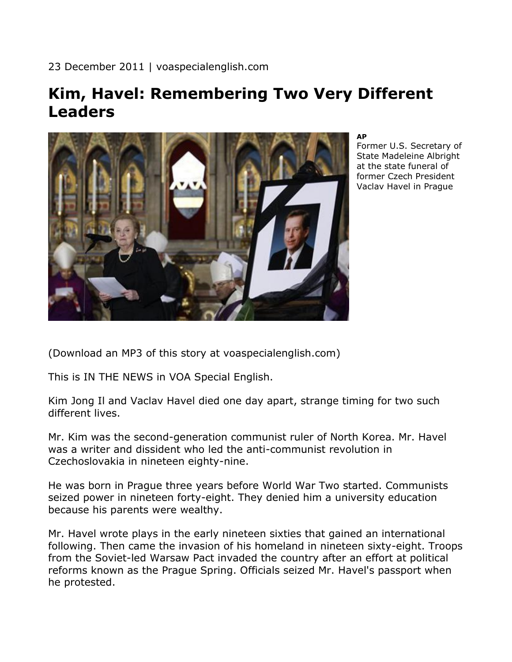23 December 2011 | voaspecialenglish.com

## **Kim, Havel: Remembering Two Very Different Leaders**



**AP**

Former U.S. Secretary of State Madeleine Albright at the state funeral of former Czech President Vaclav Havel in Prague

(Download an MP3 of this story at voaspecialenglish.com)

This is IN THE NEWS in VOA Special English.

Kim Jong Il and Vaclav Havel died one day apart, strange timing for two such different lives.

Mr. Kim was the second-generation communist ruler of North Korea. Mr. Havel was a writer and dissident who led the anti-communist revolution in Czechoslovakia in nineteen eighty-nine.

He was born in Prague three years before World War Two started. Communists seized power in nineteen forty-eight. They denied him a university education because his parents were wealthy.

Mr. Havel wrote plays in the early nineteen sixties that gained an international following. Then came the invasion of his homeland in nineteen sixty-eight. Troops from the Soviet-led Warsaw Pact invaded the country after an effort at political reforms known as the Prague Spring. Officials seized Mr. Havel's passport when he protested.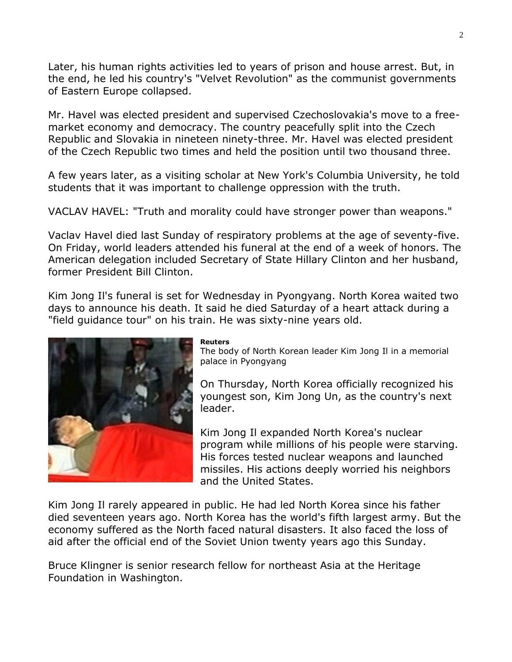Later, his human rights activities led to years of prison and house arrest. But, in the end, he led his country's "Velvet Revolution" as the communist governments of Eastern Europe collapsed.

Mr. Havel was elected president and supervised Czechoslovakia's move to a freemarket economy and democracy. The country peacefully split into the Czech Republic and Slovakia in nineteen ninety-three. Mr. Havel was elected president of the Czech Republic two times and held the position until two thousand three.

A few years later, as a visiting scholar at New York's Columbia University, he told students that it was important to challenge oppression with the truth.

VACLAV HAVEL: "Truth and morality could have stronger power than weapons."

Vaclav Havel died last Sunday of respiratory problems at the age of seventy-five. On Friday, world leaders attended his funeral at the end of a week of honors. The American delegation included Secretary of State Hillary Clinton and her husband, former President Bill Clinton.

Kim Jong Il's funeral is set for Wednesday in Pyongyang. North Korea waited two days to announce his death. It said he died Saturday of a heart attack during a "field guidance tour" on his train. He was sixty-nine years old.



## **Reuters**

The body of North Korean leader Kim Jong Il in a memorial palace in Pyongyang

On Thursday, North Korea officially recognized his youngest son, Kim Jong Un, as the country's next leader.

Kim Jong Il expanded North Korea's nuclear program while millions of his people were starving. His forces tested nuclear weapons and launched missiles. His actions deeply worried his neighbors and the United States.

Kim Jong Il rarely appeared in public. He had led North Korea since his father died seventeen years ago. North Korea has the world's fifth largest army. But the economy suffered as the North faced natural disasters. It also faced the loss of aid after the official end of the Soviet Union twenty years ago this Sunday.

Bruce Klingner is senior research fellow for northeast Asia at the Heritage Foundation in Washington.